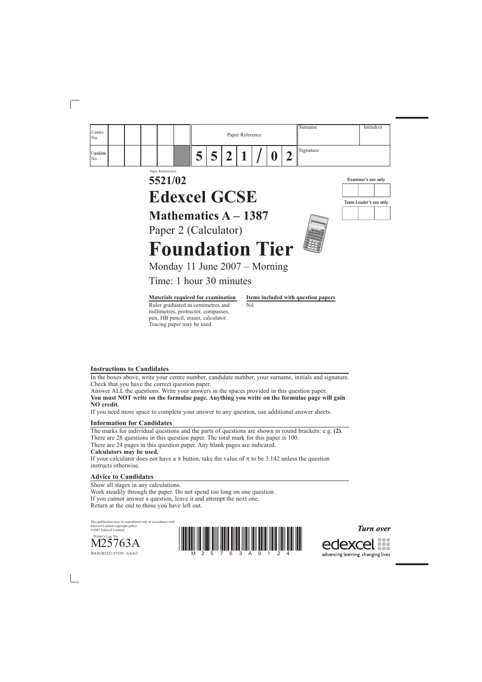## *Turn over*

edexcel ::: advancing learning, changing lives

### **Instructions to Candidates**

In the boxes above, write your centre number, candidate number, your surname, initials and signature. Check that you have the correct question paper.

Answer ALL the questions. Write your answers in the spaces provided in this question paper. **You must NOT write on the formulae page. Anything you write on the formulae page will gain NO credit.** 



If you need more space to complete your answer to any question, use additional answer sheets.

### **Information for Candidates**

The marks for individual questions and the parts of questions are shown in round brackets: e.g. **(2)**. There are 28 questions in this question paper. The total mark for this paper is 100. There are 24 pages in this question paper. Any blank pages are indicated. **Calculators may be used.**

If your calculator does not have a π button, take the value of π to be 3.142 unless the question instructs otherwise.

## **Advice to Candidates**

Show all stages in any calculations. Work steadily through the paper. Do not spend too long on one question. If you cannot answer a question, leave it and attempt the next one. Return at the end to those you have left out.

This publication may be reproduced only in accordance with Edexcel Limited copyright policy. ©2007 Edexcel Limited.

 $\rm M25763A$ 

W850/R5521/57570 6/6/6/3

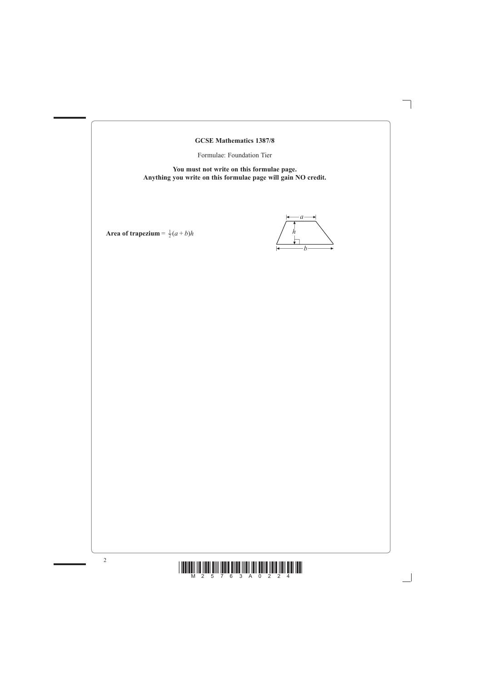

**GCSE Mathematics 1387/8**

Formulae: Foundation Tier

**You must not write on this formulae page. Anything you write on this formulae page will gain NO credit.**

*a*  $\rightarrow$ *hb*

Area of trapezium =  $\frac{1}{2}(a+b)h$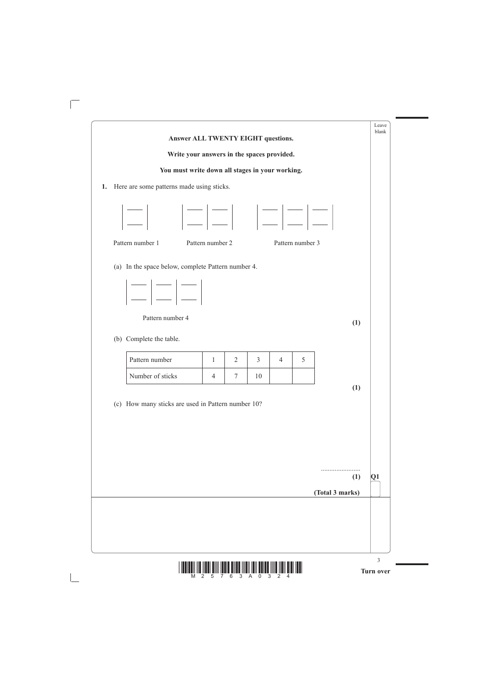

|                                                             | Answer ALL TWENTY EIGHT questions.              |                |                |   |                  |     | Leave<br>blank |
|-------------------------------------------------------------|-------------------------------------------------|----------------|----------------|---|------------------|-----|----------------|
|                                                             | Write your answers in the spaces provided.      |                |                |   |                  |     |                |
|                                                             | You must write down all stages in your working. |                |                |   |                  |     |                |
| Here are some patterns made using sticks.                   |                                                 |                |                |   |                  |     |                |
| $ \square $ $ \square $ $ \square $ $ \square $ $ \square $ |                                                 |                |                |   |                  |     |                |
| Pattern number 1                                            | Pattern number 2                                |                |                |   | Pattern number 3 |     |                |
| Pattern number 4<br>(b) Complete the table.                 |                                                 |                |                |   |                  | (1) |                |
| Pattern number                                              | 1                                               | $\overline{2}$ | $\overline{3}$ | 4 | 5                |     |                |
| Number of sticks                                            | 4                                               | 7              | 10             |   |                  |     |                |
| (c) How many sticks are used in Pattern number 10?          |                                                 |                |                |   |                  | (1) |                |
|                                                             |                                                 |                |                |   |                  |     |                |
|                                                             |                                                 |                |                |   |                  | (1) | Q1             |

 $\overline{\Box}$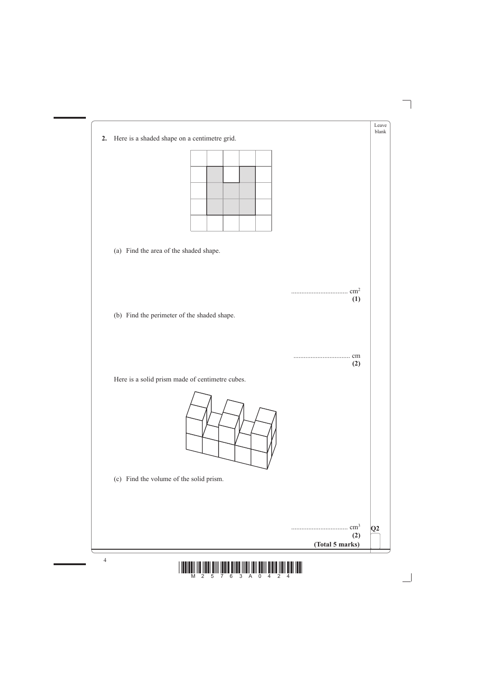



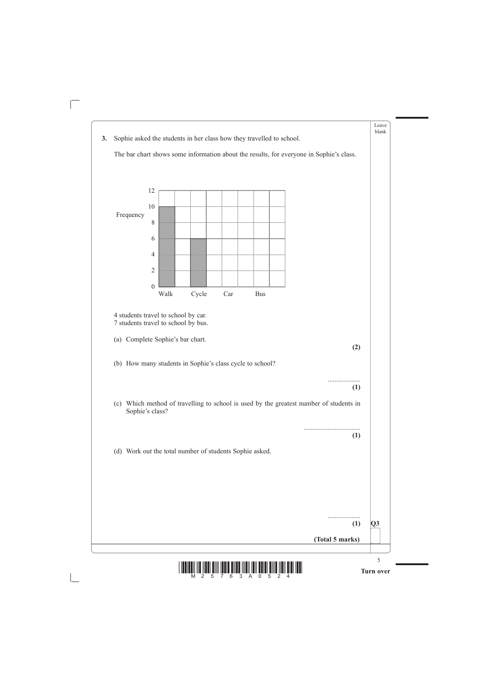

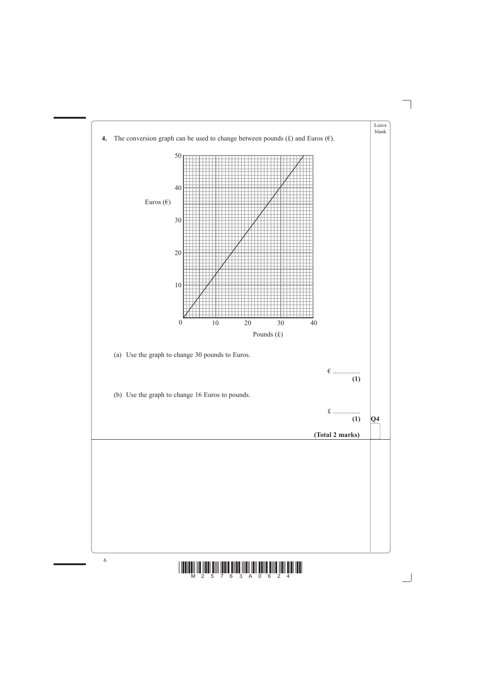

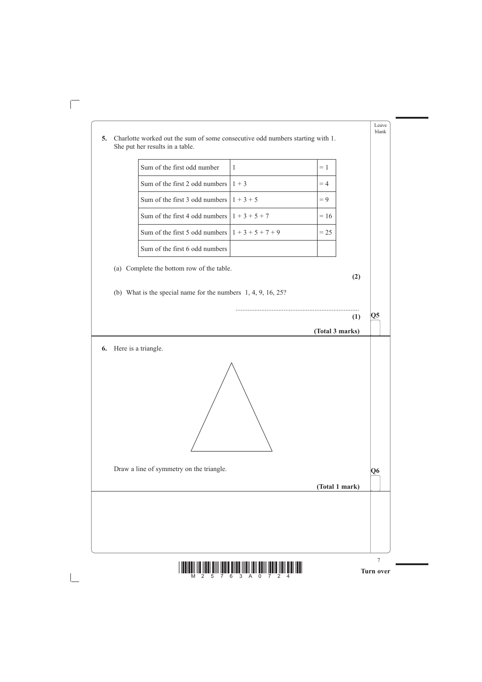

| 5. | Charlotte worked out the sum of some consecutive odd numbers starting with 1.<br>She put her results in a table. |              |                 | Leave<br>blank |
|----|------------------------------------------------------------------------------------------------------------------|--------------|-----------------|----------------|
|    | Sum of the first odd number                                                                                      | $\mathbf{1}$ | $= 1$           |                |
|    | Sum of the first 2 odd numbers                                                                                   | $1 + 3$      | $=4$            |                |
|    | Sum of the first 3 odd numbers $1 + 3 + 5$                                                                       |              | $= 9$           |                |
|    | Sum of the first 4 odd numbers $1+3+5+7$                                                                         |              | $= 16$          |                |
|    | Sum of the first 5 odd numbers $1+3+5+7+9$                                                                       |              | $= 25$          |                |
|    | Sum of the first 6 odd numbers                                                                                   |              |                 |                |
|    | (a) Complete the bottom row of the table.                                                                        |              |                 |                |
|    | (b) What is the special name for the numbers $1, 4, 9, 16, 25$ ?                                                 |              |                 | Q5<br>(1)      |
|    |                                                                                                                  |              | (Total 3 marks) |                |
| 6. | Here is a triangle.<br>Draw a line of symmetry on the triangle.                                                  |              |                 |                |

 $\overline{\Box}$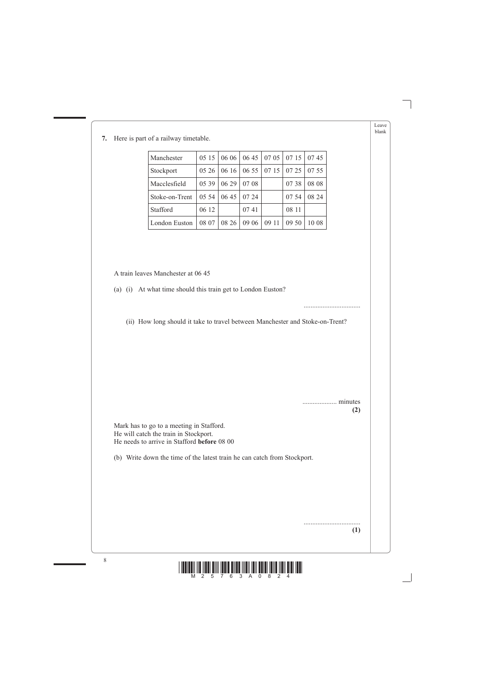Leave blank

8



# **7.** Here is part of a railway timetable.

| Manchester     |       |       | 0515   0606   0645   0705   0715 |       |       | 0745  |
|----------------|-------|-------|----------------------------------|-------|-------|-------|
| Stockport      | 05 26 |       | $\vert 0616 \vert 0655 \vert$    | 0715  | 07 25 | 07 55 |
| Macclesfield   | 05 39 | 06 29 | 07 08                            |       | 07 38 | 08 08 |
| Stoke-on-Trent | 05 54 | 06 45 | 07 24                            |       | 07 54 | 08 24 |
| Stafford       | 06 12 |       | 0741                             |       | 08 11 |       |
| London Euston  | 08 07 | 08 26 | 09 06                            | 09 11 | 09 50 | 10 08 |

A train leaves Manchester at 06 45

(a) (i) At what time should this train get to London Euston?

.................................

(ii) How long should it take to travel between Manchester and Stoke-on-Trent?

.................... minutes **(2)**

 Mark has to go to a meeting in Stafford. He will catch the train in Stockport. He needs to arrive in Stafford **before** 08 00

(b) Write down the time of the latest train he can catch from Stockport.

................................. **(1)**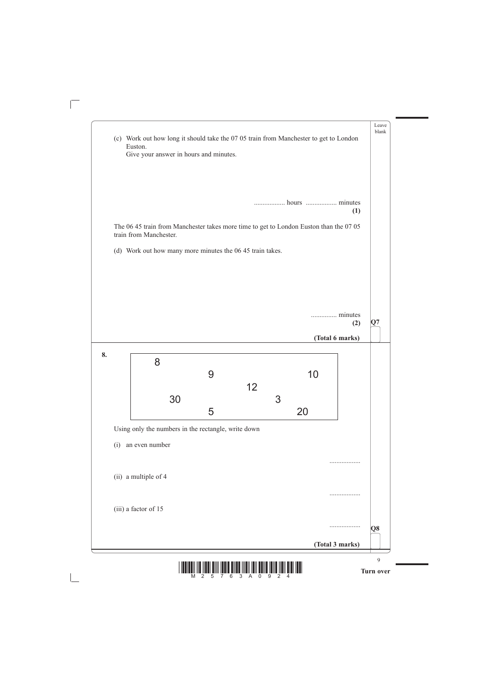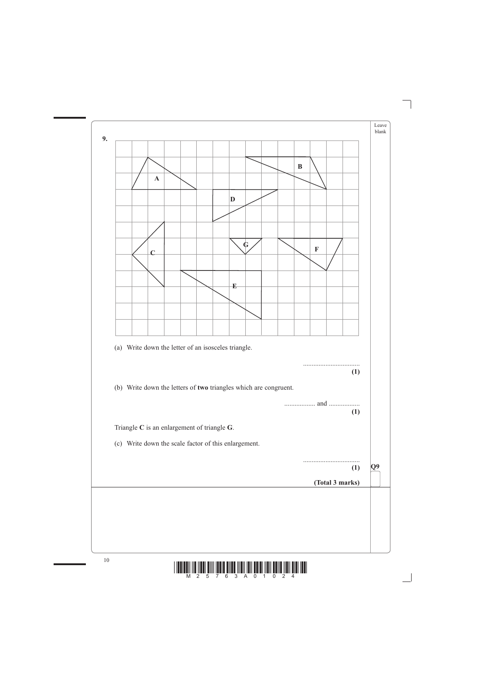

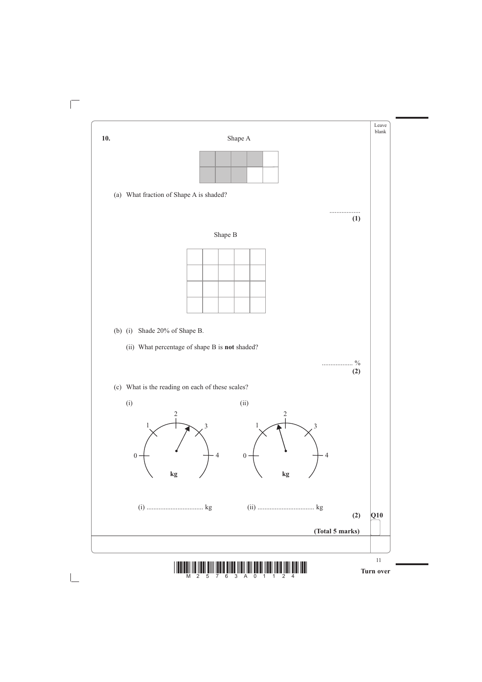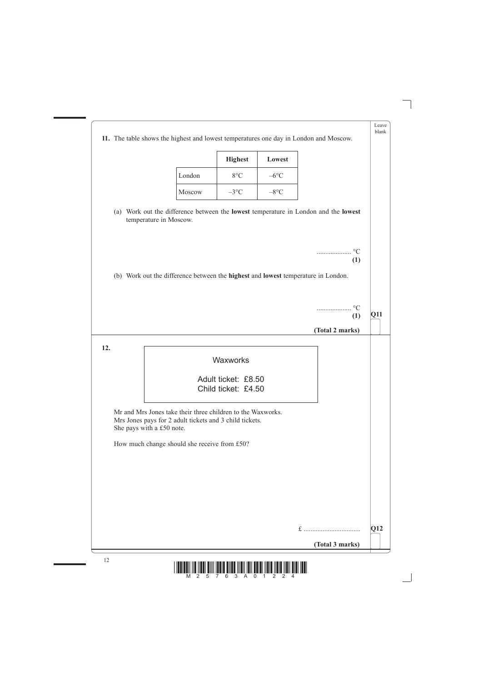

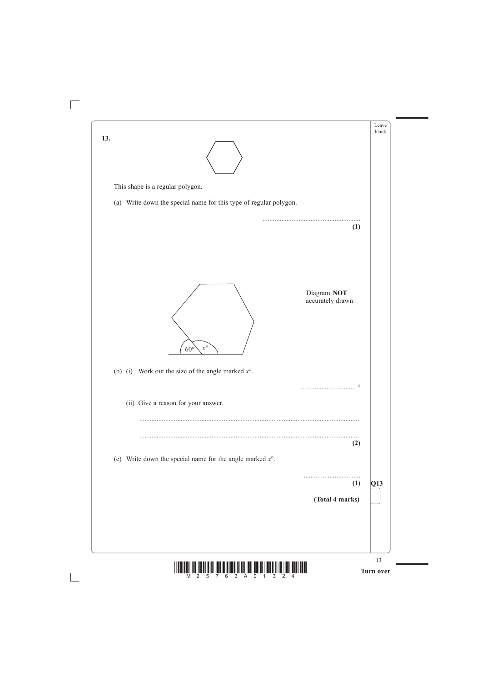



 $\sqrt{2}$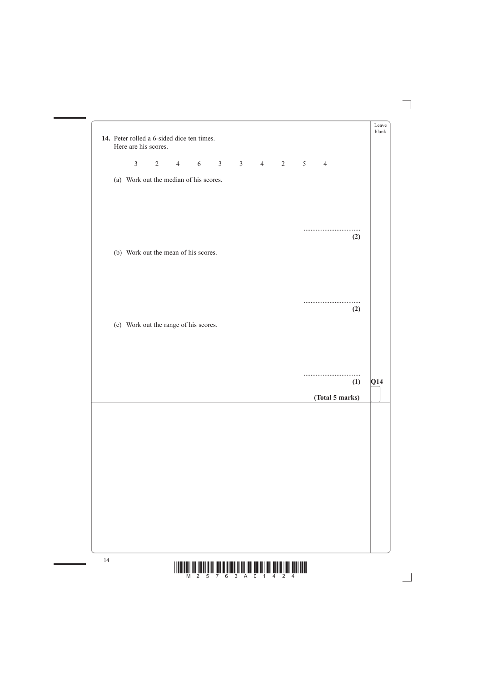

| 2 4 6 3 3 4 2 5<br>$\overline{3}$<br>$\overline{4}$<br>(a) Work out the median of his scores.<br>.<br>(2)<br>(b) Work out the mean of his scores.<br>(2)<br>(c) Work out the range of his scores.<br>(1) |  | 14. Peter rolled a 6-sided dice ten times.<br>Here are his scores. |  |  |  |  | blank |
|----------------------------------------------------------------------------------------------------------------------------------------------------------------------------------------------------------|--|--------------------------------------------------------------------|--|--|--|--|-------|
|                                                                                                                                                                                                          |  |                                                                    |  |  |  |  |       |
|                                                                                                                                                                                                          |  |                                                                    |  |  |  |  |       |
|                                                                                                                                                                                                          |  |                                                                    |  |  |  |  |       |
|                                                                                                                                                                                                          |  |                                                                    |  |  |  |  |       |
|                                                                                                                                                                                                          |  |                                                                    |  |  |  |  |       |
|                                                                                                                                                                                                          |  |                                                                    |  |  |  |  |       |
|                                                                                                                                                                                                          |  |                                                                    |  |  |  |  |       |
|                                                                                                                                                                                                          |  |                                                                    |  |  |  |  |       |
| (Total 5 marks)                                                                                                                                                                                          |  |                                                                    |  |  |  |  | Q14   |
|                                                                                                                                                                                                          |  |                                                                    |  |  |  |  |       |
|                                                                                                                                                                                                          |  |                                                                    |  |  |  |  |       |
|                                                                                                                                                                                                          |  |                                                                    |  |  |  |  |       |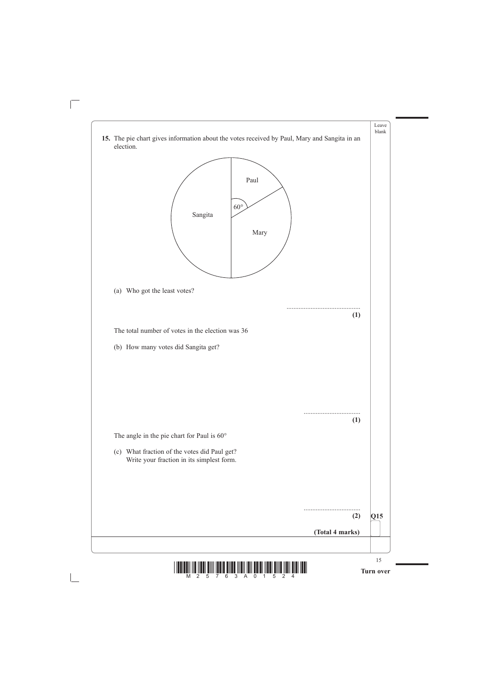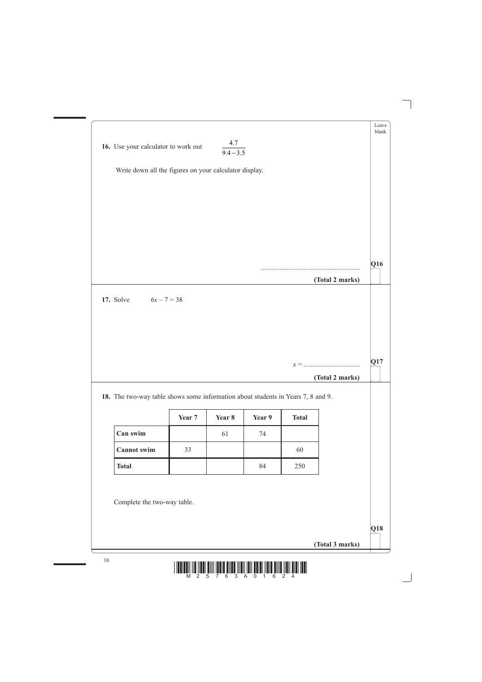|                                                                                  | 16. Use your calculator to work out | 4.7<br>$9.4 - 3.5$ |        |              |                 |
|----------------------------------------------------------------------------------|-------------------------------------|--------------------|--------|--------------|-----------------|
| Write down all the figures on your calculator display.                           |                                     |                    |        |              |                 |
|                                                                                  |                                     |                    |        |              |                 |
|                                                                                  |                                     |                    |        |              |                 |
|                                                                                  |                                     |                    |        |              |                 |
|                                                                                  |                                     |                    |        |              |                 |
|                                                                                  |                                     |                    |        |              |                 |
|                                                                                  |                                     |                    |        |              | (Total 2 marks) |
|                                                                                  | $6x - 7 = 38$                       |                    |        |              |                 |
| 17. Solve                                                                        |                                     |                    |        |              |                 |
|                                                                                  |                                     |                    |        |              |                 |
|                                                                                  |                                     |                    |        |              | (Total 2 marks) |
| 18. The two-way table shows some information about students in Years 7, 8 and 9. | Year 7                              | Year 8             | Year 9 | <b>Total</b> |                 |
| Can swim                                                                         |                                     | 61                 | 74     |              |                 |
| <b>Cannot</b> swim                                                               | 33                                  |                    |        | 60           |                 |

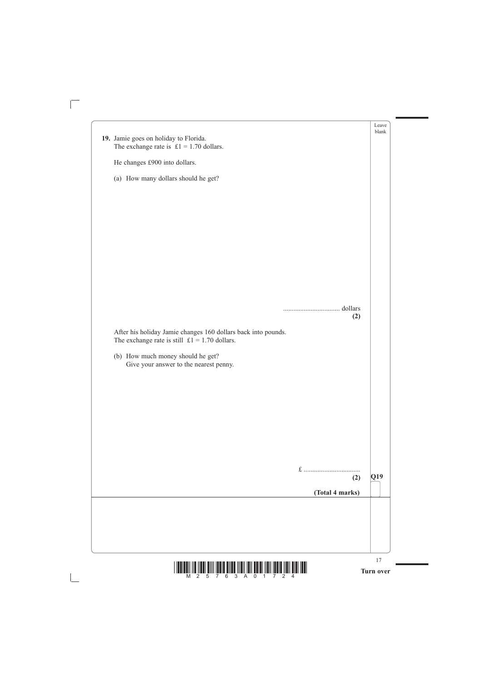

|                                                                                                                        |              | Leave<br>blank |
|------------------------------------------------------------------------------------------------------------------------|--------------|----------------|
| 19. Jamie goes on holiday to Florida.<br>The exchange rate is $£1 = 1.70$ dollars.                                     |              |                |
|                                                                                                                        |              |                |
| He changes £900 into dollars.                                                                                          |              |                |
| (a) How many dollars should he get?                                                                                    |              |                |
|                                                                                                                        |              |                |
|                                                                                                                        |              |                |
|                                                                                                                        |              |                |
|                                                                                                                        |              |                |
|                                                                                                                        |              |                |
|                                                                                                                        |              |                |
|                                                                                                                        |              |                |
|                                                                                                                        |              |                |
|                                                                                                                        |              |                |
|                                                                                                                        | (2)          |                |
| After his holiday Jamie changes 160 dollars back into pounds.<br>The exchange rate is still $\pounds1 = 1.70$ dollars. |              |                |
| (b) How much money should he get?                                                                                      |              |                |
| Give your answer to the nearest penny.                                                                                 |              |                |
|                                                                                                                        |              |                |
|                                                                                                                        |              |                |
|                                                                                                                        |              |                |
|                                                                                                                        |              |                |
|                                                                                                                        |              |                |
|                                                                                                                        |              |                |
|                                                                                                                        |              |                |
|                                                                                                                        |              |                |
|                                                                                                                        | $f$ .<br>(2) | Q19            |

 $\overline{\Box}$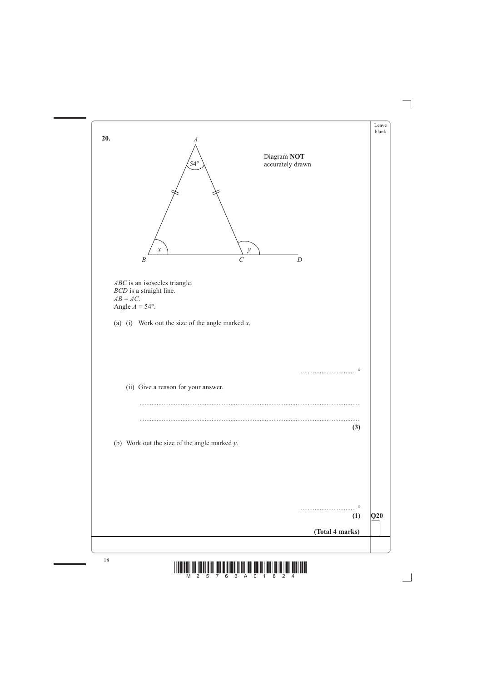

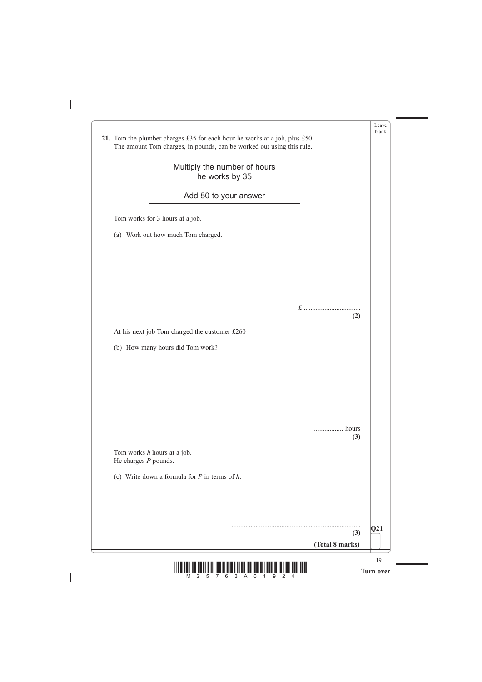

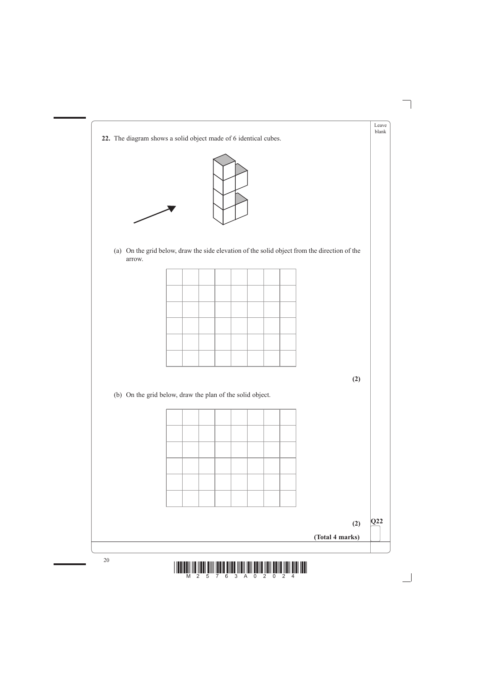



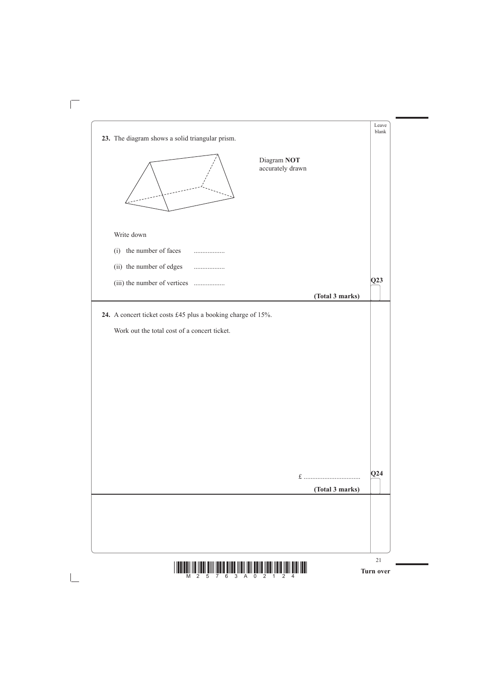



 $\sqrt{\phantom{a}}$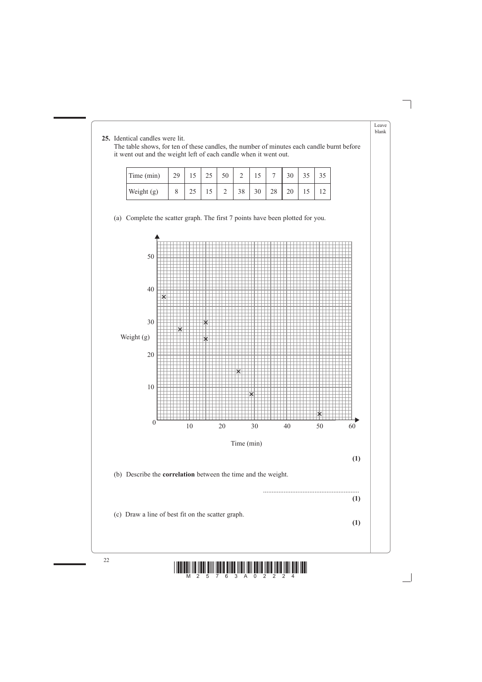

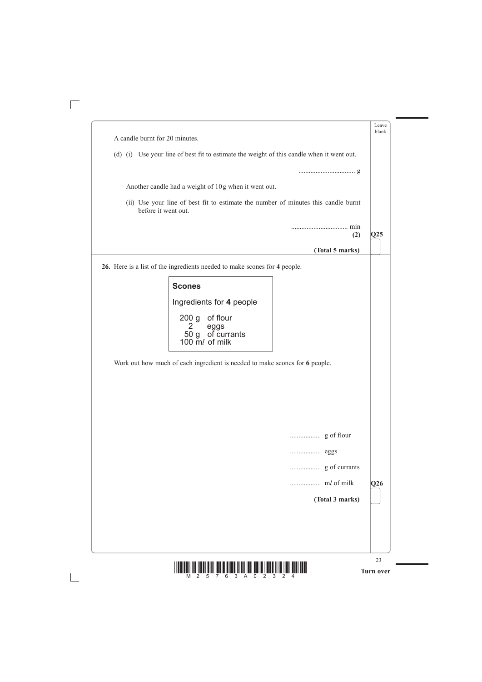

|                                                                             | Leave<br>blank                                                                            |
|-----------------------------------------------------------------------------|-------------------------------------------------------------------------------------------|
| A candle burnt for 20 minutes.                                              |                                                                                           |
|                                                                             | (d) (i) Use your line of best fit to estimate the weight of this candle when it went out. |
|                                                                             |                                                                                           |
| Another candle had a weight of 10g when it went out.                        |                                                                                           |
|                                                                             |                                                                                           |
| before it went out.                                                         | (ii) Use your line of best fit to estimate the number of minutes this candle burnt        |
|                                                                             |                                                                                           |
|                                                                             | $\overline{\text{Q25}}$<br>(2)                                                            |
|                                                                             | (Total 5 marks)                                                                           |
| 26. Here is a list of the ingredients needed to make scones for 4 people.   |                                                                                           |
|                                                                             |                                                                                           |
| <b>Scones</b>                                                               |                                                                                           |
| Ingredients for 4 people                                                    |                                                                                           |
| 200 g of flour                                                              |                                                                                           |
| 2<br>eggs<br>50 g of currants                                               |                                                                                           |
| 100 $\overline{m}$ of milk                                                  |                                                                                           |
|                                                                             |                                                                                           |
| Work out how much of each ingredient is needed to make scones for 6 people. |                                                                                           |
|                                                                             |                                                                                           |
|                                                                             |                                                                                           |
|                                                                             |                                                                                           |
|                                                                             |                                                                                           |
|                                                                             |                                                                                           |
|                                                                             |                                                                                           |
|                                                                             |                                                                                           |
|                                                                             |                                                                                           |
|                                                                             | $\overline{\textbf{Q26}}$                                                                 |

 $\sqrt{\phantom{a}}$ 

 $\mathbb{R}$